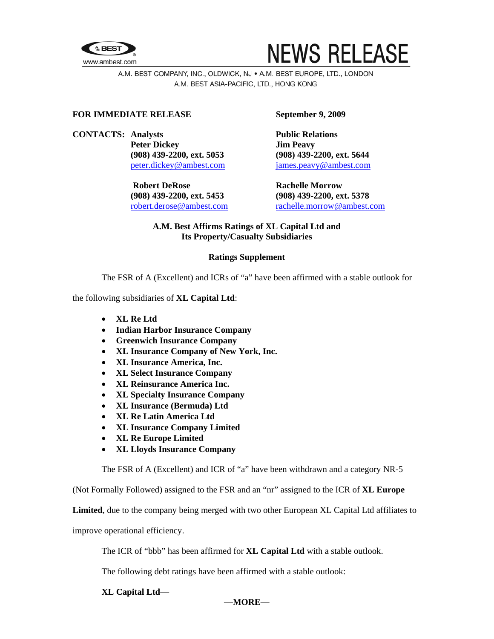



A.M. BEST COMPANY, INC., OLDWICK, NJ . A.M. BEST EUROPE, LTD., LONDON A.M. BEST ASIA-PACIFIC, LTD., HONG KONG

### **FOR IMMEDIATE RELEASE September 9, 2009**

**CONTACTS:** Analysts **Public Relations Peter Dickey Jim Peavy** 

> **Robert DeRose Rachelle Morrow Rachelle Morrow (908) 439-2200, ext. 5453 (908) 439-2200, ext. 5378**

 **(908) 439-2200, ext. 5053 (908) 439-2200, ext. 5644**  [peter.dickey@ambest.com](mailto:peter.dickey@ambest.com) [james.peavy@ambest.com](mailto:james.peavy@ambest.com) 

[robert.derose@ambest.com](mailto:robert.derose@ambest.com) [rachelle.morrow@ambest.com](mailto:rachelle.morrow@ambest.com)

# **A.M. Best Affirms Ratings of XL Capital Ltd and Its Property/Casualty Subsidiaries**

## **Ratings Supplement**

The FSR of A (Excellent) and ICRs of "a" have been affirmed with a stable outlook for

the following subsidiaries of **XL Capital Ltd**:

- **XL Re Ltd**
- **Indian Harbor Insurance Company**
- **Greenwich Insurance Company**
- **XL Insurance Company of New York, Inc.**
- **XL Insurance America, Inc.**
- **XL Select Insurance Company**
- **XL Reinsurance America Inc.**
- **XL Specialty Insurance Company**
- **XL Insurance (Bermuda) Ltd**
- **XL Re Latin America Ltd**
- **XL Insurance Company Limited**
- **XL Re Europe Limited**
- **XL Lloyds Insurance Company**

The FSR of A (Excellent) and ICR of "a" have been withdrawn and a category NR-5

(Not Formally Followed) assigned to the FSR and an "nr" assigned to the ICR of **XL Europe** 

**Limited**, due to the company being merged with two other European XL Capital Ltd affiliates to

improve operational efficiency.

The ICR of "bbb" has been affirmed for **XL Capital Ltd** with a stable outlook.

The following debt ratings have been affirmed with a stable outlook:

#### **XL Capital Ltd**—